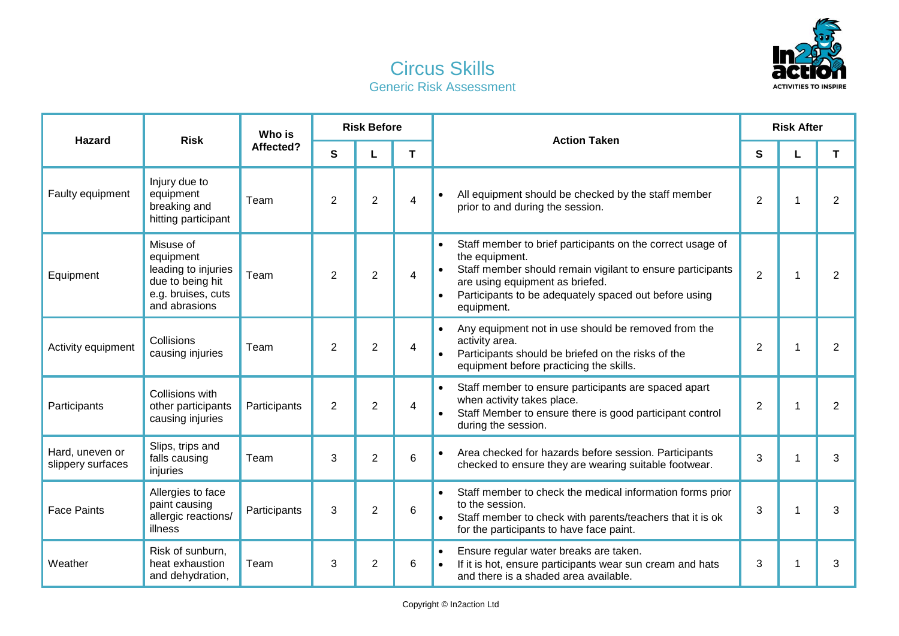

## Circus Skills Generic Risk Assessment

| <b>Hazard</b>                        | <b>Risk</b>                                                                                              | Who is<br>Affected? | <b>Risk Before</b> |                |   | <b>Action Taken</b>                                                                                                                                                                                                                                                            | <b>Risk After</b> |  |   |
|--------------------------------------|----------------------------------------------------------------------------------------------------------|---------------------|--------------------|----------------|---|--------------------------------------------------------------------------------------------------------------------------------------------------------------------------------------------------------------------------------------------------------------------------------|-------------------|--|---|
|                                      |                                                                                                          |                     | S                  | L              | т |                                                                                                                                                                                                                                                                                | S                 |  | т |
| Faulty equipment                     | Injury due to<br>equipment<br>breaking and<br>hitting participant                                        | Team                | $\overline{2}$     | $\overline{2}$ | 4 | All equipment should be checked by the staff member<br>prior to and during the session.                                                                                                                                                                                        | $\overline{2}$    |  | 2 |
| Equipment                            | Misuse of<br>equipment<br>leading to injuries<br>due to being hit<br>e.g. bruises, cuts<br>and abrasions | Team                | 2                  | 2              | 4 | Staff member to brief participants on the correct usage of<br>$\bullet$<br>the equipment.<br>Staff member should remain vigilant to ensure participants<br>are using equipment as briefed.<br>Participants to be adequately spaced out before using<br>$\bullet$<br>equipment. | $\overline{2}$    |  | 2 |
| Activity equipment                   | Collisions<br>causing injuries                                                                           | Team                | $\overline{2}$     | $\overline{2}$ | 4 | Any equipment not in use should be removed from the<br>$\bullet$<br>activity area.<br>Participants should be briefed on the risks of the<br>equipment before practicing the skills.                                                                                            | $\overline{2}$    |  | 2 |
| Participants                         | Collisions with<br>other participants<br>causing injuries                                                | Participants        | $\overline{2}$     | $\overline{2}$ | 4 | Staff member to ensure participants are spaced apart<br>$\bullet$<br>when activity takes place.<br>Staff Member to ensure there is good participant control<br>during the session.                                                                                             | $\overline{2}$    |  | 2 |
| Hard, uneven or<br>slippery surfaces | Slips, trips and<br>falls causing<br>injuries                                                            | Team                | 3                  | 2              | 6 | Area checked for hazards before session. Participants<br>$\bullet$<br>checked to ensure they are wearing suitable footwear.                                                                                                                                                    | 3                 |  | 3 |
| <b>Face Paints</b>                   | Allergies to face<br>paint causing<br>allergic reactions/<br>illness                                     | Participants        | 3                  | $\overline{2}$ | 6 | Staff member to check the medical information forms prior<br>$\bullet$<br>to the session.<br>Staff member to check with parents/teachers that it is ok<br>for the participants to have face paint.                                                                             | 3                 |  | 3 |
| Weather                              | Risk of sunburn,<br>heat exhaustion<br>and dehydration,                                                  | Team                | 3                  | 2              | 6 | Ensure regular water breaks are taken.<br>$\bullet$<br>If it is hot, ensure participants wear sun cream and hats<br>and there is a shaded area available.                                                                                                                      | 3                 |  | 3 |